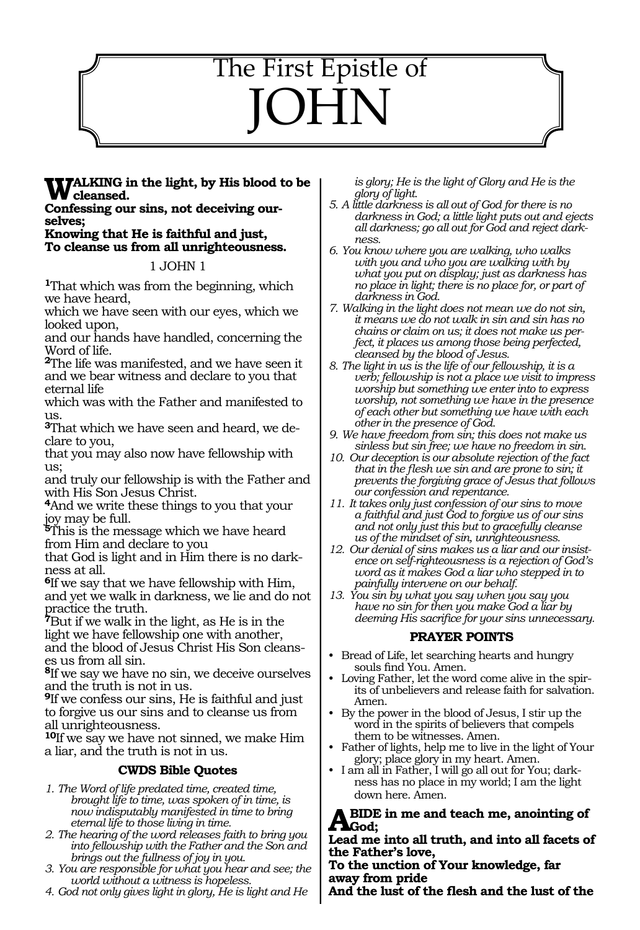# The First Epistle of JOHN

# **TALKING in the light, by His blood to be cleansed.**

**Confessing our sins, not deceiving ourselves;**

**Knowing that He is faithful and just, To cleanse us from all unrighteousness.**

### 1 JOHN 1

**<sup>1</sup>**That which was from the beginning, which we have heard,

which we have seen with our eyes, which we looked upon,

and our hands have handled, concerning the Word of life.

**<sup>2</sup>**The life was manifested, and we have seen it and we bear witness and declare to you that eternal life

which was with the Father and manifested to us.

**3**That which we have seen and heard, we declare to you,

that you may also now have fellowship with us;

and truly our fellowship is with the Father and with His Son Jesus Christ.

**<sup>4</sup>**And we write these things to you that your joy may be full.

**<sup>5</sup>**This is the message which we have heard from Him and declare to you

that God is light and in Him there is no darkness at all.

**<sup>6</sup>**If we say that we have fellowship with Him, and yet we walk in darkness, we lie and do not practice the truth.

**<sup>7</sup>**But if we walk in the light, as He is in the light we have fellowship one with another, and the blood of Jesus Christ His Son cleanses us from all sin.

**<sup>8</sup>**If we say we have no sin, we deceive ourselves and the truth is not in us.

**<sup>9</sup>**If we confess our sins, He is faithful and just to forgive us our sins and to cleanse us from all unrighteousness.

**<sup>10</sup>**If we say we have not sinned, we make Him a liar, and the truth is not in us.

# **CWDS Bible Quotes**

- *1. The Word of life predated time, created time, brought life to time, was spoken of in time, is now indisputably manifested in time to bring eternal life to those living in time.*
- *2. The hearing of the word releases faith to bring you into fellowship with the Father and the Son and brings out the fullness of joy in you.*
- *3. You are responsible for what you hear and see; the world without a witness is hopeless.*
- *4. God not only gives light in glory, He is light and He*

*is glory; He is the light of Glory and He is the glory of light.*

- *5. A little darkness is all out of God for there is no darkness in God; a little light puts out and ejects all darkness; go all out for God and reject darkness.*
- *6. You know where you are walking, who walks with you and who you are walking with by what you put on display; just as darkness has no place in light; there is no place for, or part of darkness in God.*
- *7. Walking in the light does not mean we do not sin, it means we do not walk in sin and sin has no chains or claim on us; it does not make us perfect, it places us among those being perfected, cleansed by the blood of Jesus.*
- *8. The light in us is the life of our fellowship, it is a verb; fellowship is not a place we visit to impress worship but something we enter into to express worship, not something we have in the presence of each other but something we have with each other in the presence of God.*
- *9. We have freedom from sin; this does not make us sinless but sin free; we have no freedom in sin.*
- *10. Our deception is our absolute rejection of the fact that in the flesh we sin and are prone to sin; it prevents the forgiving grace of Jesus that follows our confession and repentance.*
- *11. It takes only just confession of our sins to move a faithful and just God to forgive us of our sins and not only just this but to gracefully cleanse us of the mindset of sin, unrighteousness.*
- *12. Our denial of sins makes us a liar and our insistence on self-righteousness is a rejection of God's word as it makes God a liar who stepped in to painfully intervene on our behalf.*
- *13. You sin by what you say when you say you have no sin for then you make God a liar by deeming His sacrifice for your sins unnecessary.*

# **PRAYER POINTS**

- Bread of Life, let searching hearts and hungry souls find You. Amen.
- Loving Father, let the word come alive in the spirits of unbelievers and release faith for salvation. Amen.
- • By the power in the blood of Jesus, I stir up the word in the spirits of believers that compels them to be witnesses. Amen.
- Father of lights, help me to live in the light of Your glory; place glory in my heart. Amen.
- I am all in Father, I will go all out for You; darkness has no place in my world; I am the light down here. Amen.

### **Abide in me and teach me, anointing of God;**

### **Lead me into all truth, and into all facets of the Father's love,**

**To the unction of Your knowledge, far away from pride**

**And the lust of the flesh and the lust of the**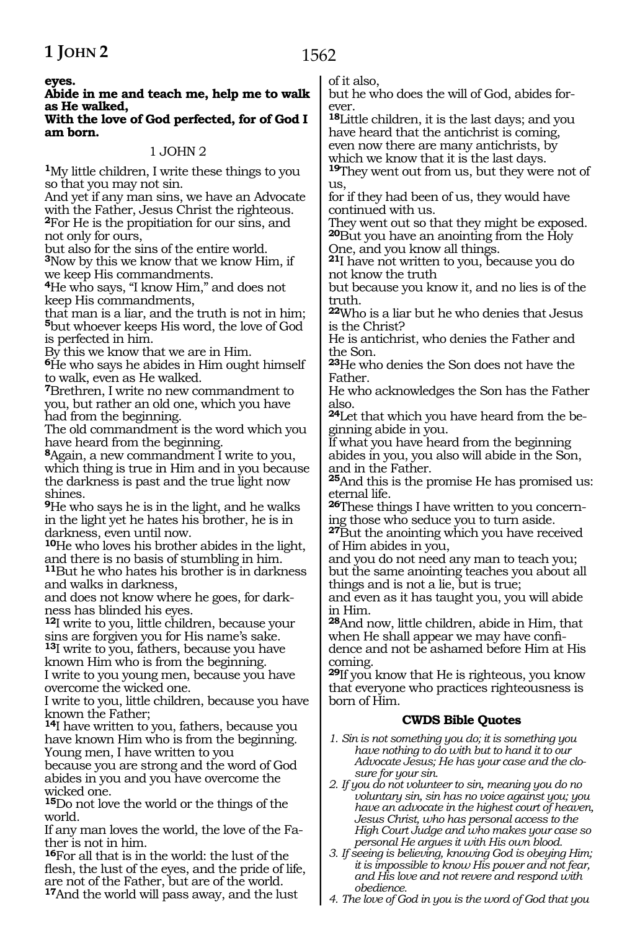**eyes.**

### **Abide in me and teach me, help me to walk as He walked,**

#### **With the love of God perfected, for of God I am born.**

### 1 JOHN 2

**<sup>1</sup>**My little children, I write these things to you so that you may not sin.

And yet if any man sins, we have an Advocate with the Father, Jesus Christ the righteous. **<sup>2</sup>**For He is the propitiation for our sins, and not only for ours,

but also for the sins of the entire world. **<sup>3</sup>**Now by this we know that we know Him, if we keep His commandments.

**<sup>4</sup>**He who says, "I know Him," and does not keep His commandments,

that man is a liar, and the truth is not in him; **<sup>5</sup>**but whoever keeps His word, the love of God is perfected in him.

By this we know that we are in Him.

**<sup>6</sup>**He who says he abides in Him ought himself to walk, even as He walked.

**<sup>7</sup>**Brethren, I write no new commandment to you, but rather an old one, which you have had from the beginning.

The old commandment is the word which you have heard from the beginning.

**<sup>8</sup>**Again, a new commandment I write to you, which thing is true in Him and in you because the darkness is past and the true light now shines.

**<sup>9</sup>**He who says he is in the light, and he walks in the light yet he hates his brother, he is in darkness, even until now.

**<sup>10</sup>**He who loves his brother abides in the light, and there is no basis of stumbling in him.

**<sup>11</sup>**But he who hates his brother is in darkness and walks in darkness,

and does not know where he goes, for dark- ness has blinded his eyes.

**<sup>12</sup>**I write to you, little children, because your sins are forgiven you for His name's sake. **<sup>13</sup>**I write to you, fathers, because you have known Him who is from the beginning.

I write to you young men, because you have overcome the wicked one.

I write to you, little children, because you have known the Father;

**<sup>14</sup>**I have written to you, fathers, because you have known Him who is from the beginning. Young men, I have written to you

because you are strong and the word of God abides in you and you have overcome the wicked one.

**<sup>15</sup>**Do not love the world or the things of the world.

If any man loves the world, the love of the Father is not in him.

**<sup>16</sup>**For all that is in the world: the lust of the flesh, the lust of the eyes, and the pride of life, are not of the Father, but are of the world. **<sup>17</sup>**And the world will pass away, and the lust

of it also,

but he who does the will of God, abides forever.

**<sup>18</sup>**Little children, it is the last days; and you have heard that the antichrist is coming, even now there are many antichrists, by which we know that it is the last days.

**<sup>19</sup>**They went out from us, but they were not of us,

for if they had been of us, they would have continued with us.

They went out so that they might be exposed. **<sup>20</sup>**But you have an anointing from the Holy One, and you know all things.

**<sup>21</sup>**I have not written to you, because you do not know the truth

but because you know it, and no lies is of the truth.

**<sup>22</sup>**Who is a liar but he who denies that Jesus is the Christ?

He is antichrist, who denies the Father and the Son.

**<sup>23</sup>**He who denies the Son does not have the Father.

He who acknowledges the Son has the Father also.

**24**Let that which you have heard from the beginning abide in you.

If what you have heard from the beginning abides in you, you also will abide in the Son, and in the Father.

**<sup>25</sup>**And this is the promise He has promised us: eternal life.

**26**These things I have written to you concerning those who seduce you to turn aside.

**<sup>27</sup>**But the anointing which you have received of Him abides in you,

and you do not need any man to teach you; but the same anointing teaches you about all things and is not a lie, but is true;

and even as it has taught you, you will abide in Him.

**<sup>28</sup>**And now, little children, abide in Him, that when He shall appear we may have confidence and not be ashamed before Him at His coming.

**<sup>29</sup>**If you know that He is righteous, you know that everyone who practices righteousness is born of Him.

### **CWDS Bible Quotes**

*1. Sin is not something you do; it is something you have nothing to do with but to hand it to our Advocate Jesus; He has your case and the closure for your sin.*

*2. If you do not volunteer to sin, meaning you do no voluntary sin, sin has no voice against you; you have an advocate in the highest court of heaven, Jesus Christ, who has personal access to the High Court Judge and who makes your case so personal He argues it with His own blood.*

- *3. If seeing is believing, knowing God is obeying Him; it is impossible to know His power and not fear, and His love and not revere and respond with obedience.*
- *4. The love of God in you is the word of God that you*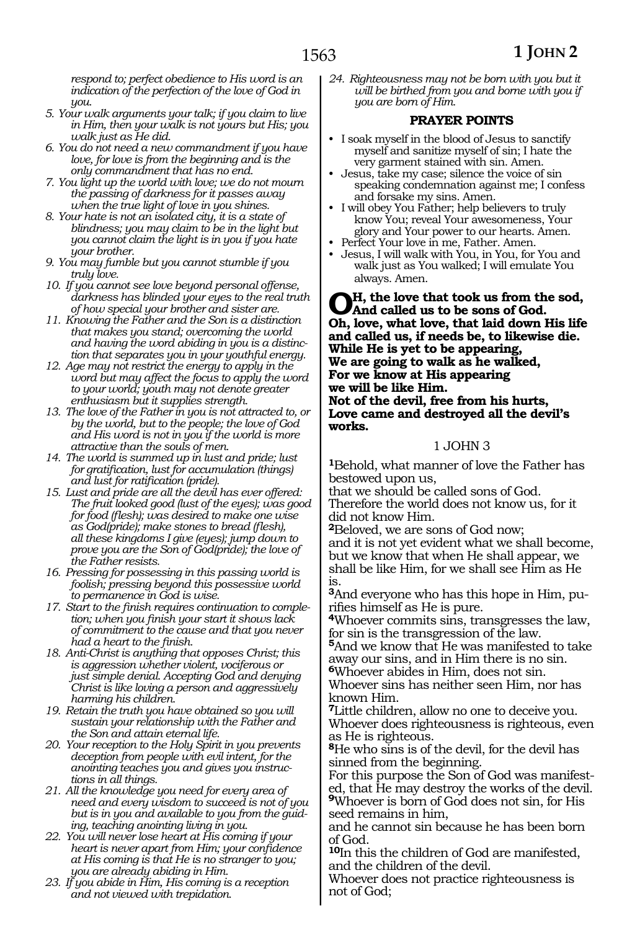*respond to; perfect obedience to His word is an indication of the perfection of the love of God in you.*

- *5. Your walk arguments your talk; if you claim to live in Him, then your walk is not yours but His; you walk just as He did.*
- *6. You do not need a new commandment if you have love, for love is from the beginning and is the only commandment that has no end.*
- *7. You light up the world with love; we do not mourn the passing of darkness for it passes away when the true light of love in you shines.*
- *8. Your hate is not an isolated city, it is a state of blindness; you may claim to be in the light but you cannot claim the light is in you if you hate your brother.*
- *9. You may fumble but you cannot stumble if you truly love.*
- *10. If you cannot see love beyond personal offense, darkness has blinded your eyes to the real truth of how special your brother and sister are.*
- *11. Knowing the Father and the Son is a distinction that makes you stand; overcoming the world and having the word abiding in you is a distinction that separates you in your youthful energy.*
- *12. Age may not restrict the energy to apply in the word but may affect the focus to apply the word to your world; youth may not denote greater enthusiasm but it supplies strength.*
- *13. The love of the Father in you is not attracted to, or by the world, but to the people; the love of God and His word is not in you if the world is more attractive than the souls of men.*
- *14. The world is summed up in lust and pride; lust for gratification, lust for accumulation (things) and lust for ratification (pride).*
- *15. Lust and pride are all the devil has ever offered: The fruit looked good (lust of the eyes); was good for food (flesh); was desired to make one wise as God(pride); make stones to bread (flesh), all these kingdoms I give (eyes); jump down to prove you are the Son of God(pride); the love of the Father resists.*
- *16. Pressing for possessing in this passing world is foolish; pressing beyond this possessive world to permanence in God is wise.*
- *17. Start to the finish requires continuation to completion; when you finish your start it shows lack of commitment to the cause and that you never had a heart to the finish.*
- *18. Anti-Christ is anything that opposes Christ; this is aggression whether violent, vociferous or just simple denial. Accepting God and denying Christ is like loving a person and aggressively harming his children.*
- *19. Retain the truth you have obtained so you will sustain your relationship with the Father and the Son and attain eternal life.*
- *20. Your reception to the Holy Spirit in you prevents deception from people with evil intent, for the anointing teaches you and gives you instructions in all things.*
- *21. All the knowledge you need for every area of need and every wisdom to succeed is not of you but is in you and available to you from the guiding, teaching anointing living in you.*
- *22. You will never lose heart at His coming if your heart is never apart from Him; your confidence at His coming is that He is no stranger to you; you are already abiding in Him.*
- *23. If you abide in Him, His coming is a reception and not viewed with trepidation.*

*24. Righteousness may not be born with you but it will be birthed from you and borne with you if you are born of Him.* 

### **PRAYER POINTS**

- I soak myself in the blood of Jesus to sanctify myself and sanitize myself of sin; I hate the very garment stained with sin. Amen.
- Jesus, take my case; silence the voice of sin speaking condemnation against me; I confess and forsake my sins. Amen.
- • I will obey You Father; help believers to truly know You; reveal Your awesomeness, Your glory and Your power to our hearts. Amen.
- Perfect Your love in me, Father. Amen.
- • Jesus, I will walk with You, in You, for You and walk just as You walked; I will emulate You always. Amen.

**Oh, the love that took us from the sod, And called us to be sons of God. Oh, love, what love, that laid down His life and called us, if needs be, to likewise die. While He is yet to be appearing, We are going to walk as he walked, For we know at His appearing we will be like Him. Not of the devil, free from his hurts, Love came and destroyed all the devil's works.** 

### 1 JOHN 3

**<sup>1</sup>**Behold, what manner of love the Father has bestowed upon us,

that we should be called sons of God. Therefore the world does not know us, for it did not know Him.

**<sup>2</sup>**Beloved, we are sons of God now; and it is not yet evident what we shall become, but we know that when He shall appear, we shall be like Him, for we shall see Him as He is.

**3**And everyone who has this hope in Him, pu-

<sup>4</sup>Whoever commits sins, transgresses the law, for sin is the transgression of the law.

**<sup>5</sup>**And we know that He was manifested to take away our sins, and in Him there is no sin. **<sup>6</sup>**Whoever abides in Him, does not sin.

Whoever sins has neither seen Him, nor has known Him.

**<sup>7</sup>**Little children, allow no one to deceive you. Whoever does righteousness is righteous, even as He is righteous.

**<sup>8</sup>**He who sins is of the devil, for the devil has sinned from the beginning.

For this purpose the Son of God was manifested, that He may destroy the works of the devil. **<sup>9</sup>**Whoever is born of God does not sin, for His seed remains in him,

and he cannot sin because he has been born of God.

**<sup>10</sup>**In this the children of God are manifested, and the children of the devil.

Whoever does not practice righteousness is not of God;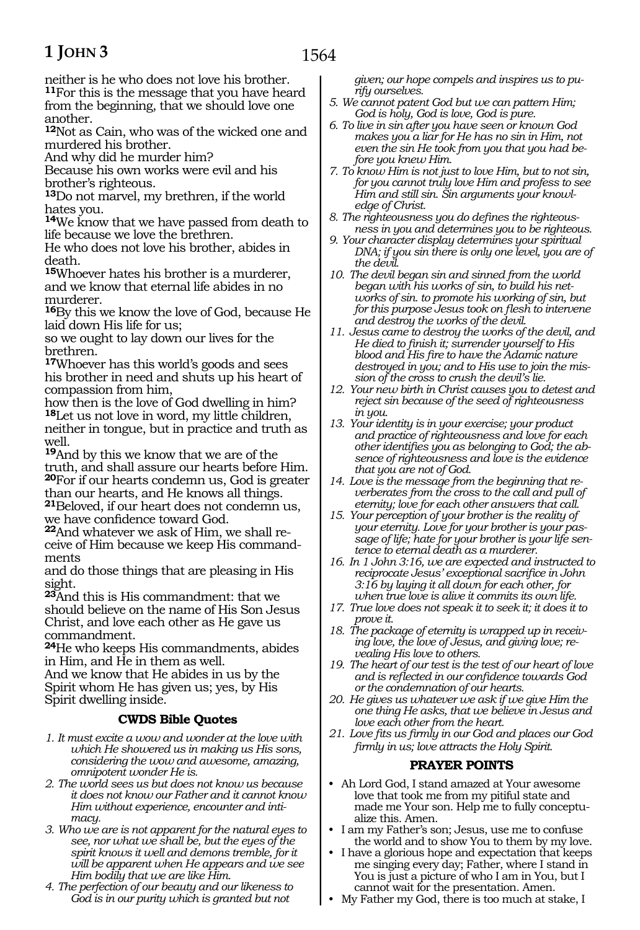# **1 JOHN 3**

neither is he who does not love his brother. **<sup>11</sup>**For this is the message that you have heard from the beginning, that we should love one another.

**<sup>12</sup>**Not as Cain, who was of the wicked one and murdered his brother.

And why did he murder him?

Because his own works were evil and his brother's righteous.

**<sup>13</sup>**Do not marvel, my brethren, if the world hates you.

**<sup>14</sup>**We know that we have passed from death to life because we love the brethren.

He who does not love his brother, abides in death.

**<sup>15</sup>**Whoever hates his brother is a murderer, and we know that eternal life abides in no murderer.

**<sup>16</sup>**By this we know the love of God, because He laid down His life for us;

so we ought to lay down our lives for the brethren.

**<sup>17</sup>**Whoever has this world's goods and sees his brother in need and shuts up his heart of compassion from him,

how then is the love of God dwelling in him? **<sup>18</sup>**Let us not love in word, my little children, neither in tongue, but in practice and truth as well.

**<sup>19</sup>**And by this we know that we are of the truth, and shall assure our hearts before Him. **<sup>20</sup>**For if our hearts condemn us, God is greater than our hearts, and He knows all things. **<sup>21</sup>**Beloved, if our heart does not condemn us, we have confidence toward God.

**<sup>22</sup>**And whatever we ask of Him, we shall re- ceive of Him because we keep His command- ments

and do those things that are pleasing in His sight.

**<sup>23</sup>**And this is His commandment: that we should believe on the name of His Son Jesus Christ, and love each other as He gave us commandment.

**<sup>24</sup>**He who keeps His commandments, abides in Him, and He in them as well.

And we know that He abides in us by the Spirit whom He has given us; yes, by His Spirit dwelling inside.

# **CWDS Bible Quotes**

- *1. It must excite a wow and wonder at the love with which He showered us in making us His sons, considering the wow and awesome, amazing, omnipotent wonder He is.*
- *2. The world sees us but does not know us because it does not know our Father and it cannot know Him without experience, encounter and intimacy.*
- *3. Who we are is not apparent for the natural eyes to see, nor what we shall be, but the eyes of the spirit knows it well and demons tremble, for it will be apparent when He appears and we see Him bodily that we are like Him.*
- *4. The perfection of our beauty and our likeness to God is in our purity which is granted but not*

*given; our hope compels and inspires us to purify ourselves.*

- *5. We cannot patent God but we can pattern Him; God is holy, God is love, God is pure.*
- *6. To live in sin after you have seen or known God makes you a liar for He has no sin in Him, not even the sin He took from you that you had before you knew Him.*
- *7. To know Him is not just to love Him, but to not sin, for you cannot truly love Him and profess to see Him and still sin. Sin arguments your knowledge of Christ.*
- *8. The righteousness you do defines the righteousness in you and determines you to be righteous.*
- *9. Your character display determines your spiritual DNA; if you sin there is only one level, you are of the devil.*
- *10. The devil began sin and sinned from the world began with his works of sin, to build his networks of sin. to promote his working of sin, but for this purpose Jesus took on flesh to intervene and destroy the works of the devil.*
- *11. Jesus came to destroy the works of the devil, and He died to finish it; surrender yourself to His blood and His fire to have the Adamic nature destroyed in you; and to His use to join the mission of the cross to crush the devil's lie.*
- *12. Your new birth in Christ causes you to detest and reject sin because of the seed of righteousness in you.*
- *13. Your identity is in your exercise; your product and practice of righteousness and love for each other identifies you as belonging to God; the absence of righteousness and love is the evidence that you are not of God.*
- *14. Love is the message from the beginning that reverberates from the cross to the call and pull of eternity; love for each other answers that call.*
- *15. Your perception of your brother is the reality of your eternity. Love for your brother is your passage of life; hate for your brother is your life sentence to eternal death as a murderer.*
- *16. In 1 John 3:16, we are expected and instructed to reciprocate Jesus' exceptional sacrifice in John 3:16 by laying it all down for each other, for when true love is alive it commits its own life.*
- *17. True love does not speak it to seek it; it does it to prove it.*
- *18. The package of eternity is wrapped up in receiving love, the love of Jesus, and giving love; revealing His love to others.*
- *19. The heart of our test is the test of our heart of love and is reflected in our confidence towards God or the condemnation of our hearts.*
- *20. He gives us whatever we ask if we give Him the one thing He asks, that we believe in Jesus and love each other from the heart.*
- *21. Love fits us firmly in our God and places our God firmly in us; love attracts the Holy Spirit.*

# **PRAYER POINTS**

- Ah Lord God, I stand amazed at Your awesome love that took me from my pitiful state and made me Your son. Help me to fully conceptualize this. Amen.
- I am my Father's son; Jesus, use me to confuse the world and to show You to them by my love.
- I have a glorious hope and expectation that keeps me singing every day; Father, where I stand in You is just a picture of who I am in You, but I cannot wait for the presentation. Amen.
- My Father my God, there is too much at stake, I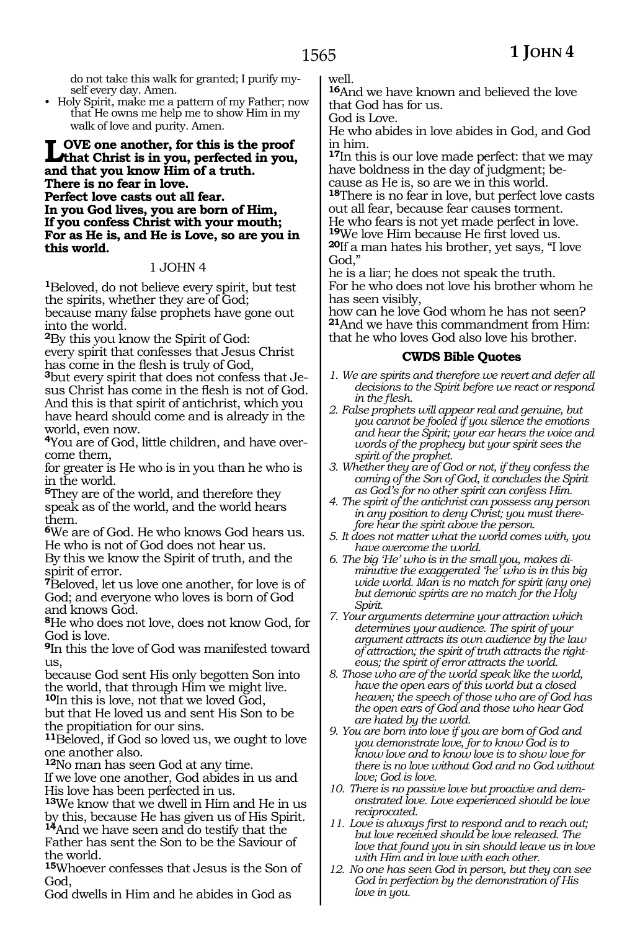do not take this walk for granted; I purify myself every day. Amen.

• Holy Spirit, make me a pattern of my Father; now that He owns me help me to show Him in my walk of love and purity. Amen.

### **Love one another, for this is the proof that Christ is in you, perfected in you, and that you know Him of a truth. There is no fear in love. Perfect love casts out all fear. In you God lives, you are born of Him, If you confess Christ with your mouth; For as He is, and He is Love, so are you in this world.**

### 1 JOHN 4

**<sup>1</sup>**Beloved, do not believe every spirit, but test the spirits, whether they are of God; because many false prophets have gone out into the world.

**<sup>2</sup>**By this you know the Spirit of God: every spirit that confesses that Jesus Christ has come in the flesh is truly of God,

**3**but every spirit that does not confess that Jesus Christ has come in the flesh is not of God. And this is that spirit of antichrist, which you have heard should come and is already in the world, even now.

**<sup>4</sup>**You are of God, little children, and have overcome them,

for greater is He who is in you than he who is in the world.

**<sup>5</sup>**They are of the world, and therefore they speak as of the world, and the world hears them.

**<sup>6</sup>**We are of God. He who knows God hears us. He who is not of God does not hear us.

By this we know the Spirit of truth, and the spirit of error.

**<sup>7</sup>**Beloved, let us love one another, for love is of God; and everyone who loves is born of God and knows God.

**<sup>8</sup>**He who does not love, does not know God, for God is love.

**<sup>9</sup>**In this the love of God was manifested toward us,

because God sent His only begotten Son into the world, that through Him we might live.

**<sup>10</sup>**In this is love, not that we loved God, but that He loved us and sent His Son to be the propitiation for our sins.

**<sup>11</sup>**Beloved, if God so loved us, we ought to love one another also.

**<sup>12</sup>**No man has seen God at any time.

If we love one another, God abides in us and His love has been perfected in us.

**<sup>13</sup>**We know that we dwell in Him and He in us by this, because He has given us of His Spirit. **<sup>14</sup>**And we have seen and do testify that the Father has sent the Son to be the Saviour of

the world. **<sup>15</sup>**Whoever confesses that Jesus is the Son of

God,

God dwells in Him and he abides in God as

well.

**<sup>16</sup>**And we have known and believed the love that God has for us.

God is Love.

He who abides in love abides in God, and God in him.

**<sup>17</sup>**In this is our love made perfect: that we may have boldness in the day of judgment; be-

cause as He is, so are we in this world. **<sup>18</sup>**There is no fear in love, but perfect love casts out all fear, because fear causes torment. He who fears is not yet made perfect in love. **<sup>19</sup>**We love Him because He first loved us. **<sup>20</sup>**If a man hates his brother, yet says, "I love God,"

he is a liar; he does not speak the truth. For he who does not love his brother whom he has seen visibly,

how can he love God whom he has not seen? **<sup>21</sup>**And we have this commandment from Him: that he who loves God also love his brother.

### **CWDS Bible Quotes**

- *1. We are spirits and therefore we revert and defer all decisions to the Spirit before we react or respond in the flesh.*
- *2. False prophets will appear real and genuine, but you cannot be fooled if you silence the emotions and hear the Spirit; your ear hears the voice and words of the prophecy but your spirit sees the spirit of the prophet.*
- *3. Whether they are of God or not, if they confess the coming of the Son of God, it concludes the Spirit as God's for no other spirit can confess Him.*
- *4. The spirit of the antichrist can possess any person in any position to deny Christ; you must therefore hear the spirit above the person.*
- *5. It does not matter what the world comes with, you have overcome the world.*
- *6. The big 'He' who is in the small you, makes diminutive the exaggerated 'he' who is in this big wide world. Man is no match for spirit (any one) but demonic spirits are no match for the Holy Spirit.*
- *7. Your arguments determine your attraction which determines your audience. The spirit of your argument attracts its own audience by the law of attraction; the spirit of truth attracts the righteous; the spirit of error attracts the world.*
- *8. Those who are of the world speak like the world, have the open ears of this world but a closed heaven; the speech of those who are of God has the open ears of God and those who hear God are hated by the world.*
- *9. You are born into love if you are born of God and you demonstrate love, for to know God is to know love and to know love is to show love for there is no love without God and no God without love; God is love.*
- *10. There is no passive love but proactive and demonstrated love. Love experienced should be love reciprocated.*
- *11. Love is always first to respond and to reach out; but love received should be love released. The love that found you in sin should leave us in love with Him and in love with each other.*
- *12. No one has seen God in person, but they can see God in perfection by the demonstration of His love in you.*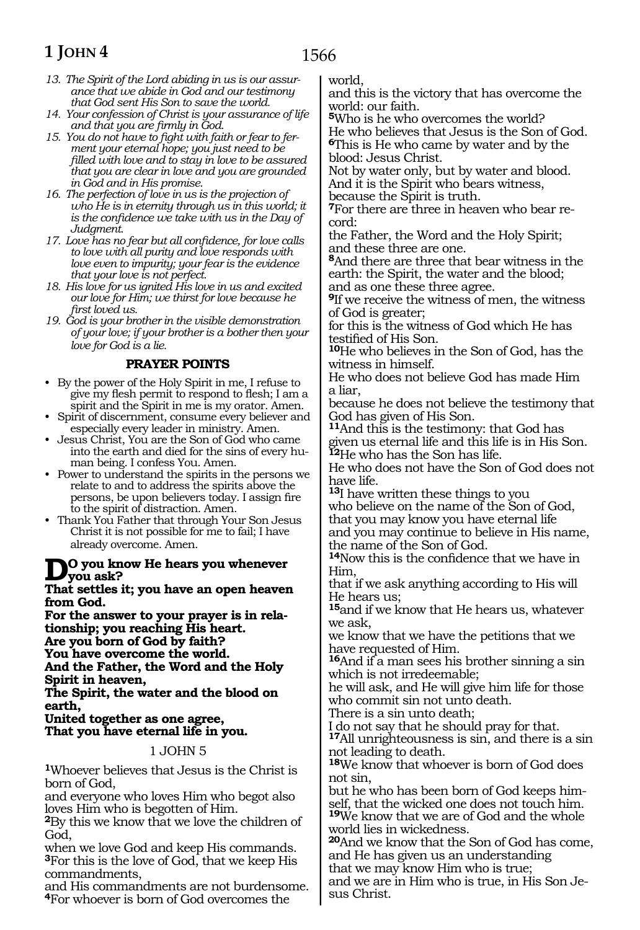# **1 JOHN 4**

- *13. The Spirit of the Lord abiding in us is our assurance that we abide in God and our testimony that God sent His Son to save the world.*
- *14. Your confession of Christ is your assurance of life and that you are firmly in God.*
- *15. You do not have to fight with faith or fear to ferment your eternal hope; you just need to be filled with love and to stay in love to be assured that you are clear in love and you are grounded in God and in His promise.*
- *16. The perfection of love in us is the projection of who He is in eternity through us in this world; it is the confidence we take with us in the Day of Judgment.*
- *17. Love has no fear but all confidence, for love calls to love with all purity and love responds with love even to impurity; your fear is the evidence that your love is not perfect.*
- *18. His love for us ignited His love in us and excited our love for Him; we thirst for love because he first loved us.*
- *19. God is your brother in the visible demonstration of your love; if your brother is a bother then your love for God is a lie.*

### **PRAYER POINTS**

- • By the power of the Holy Spirit in me, I refuse to give my flesh permit to respond to flesh; I am a spirit and the Spirit in me is my orator. Amen.
- Spirit of discernment, consume every believer and especially every leader in ministry. Amen.
- • Jesus Christ, You are the Son of God who came into the earth and died for the sins of every human being. I confess You. Amen.
- Power to understand the spirits in the persons we relate to and to address the spirits above the persons, be upon believers today. I assign fire to the spirit of distraction. Amen.
- Thank You Father that through Your Son Jesus Christ it is not possible for me to fail; I have already overcome. Amen.

# **Do you know He hears you whenever you ask?**

**That settles it; you have an open heaven from God.**

**For the answer to your prayer is in relationship; you reaching His heart. Are you born of God by faith? You have overcome the world.**

**And the Father, the Word and the Holy Spirit in heaven,**

**The Spirit, the water and the blood on earth,**

**United together as one agree, That you have eternal life in you.**

### 1 JOHN 5

**<sup>1</sup>**Whoever believes that Jesus is the Christ is born of God,

and everyone who loves Him who begot also loves Him who is begotten of Him.

**<sup>2</sup>**By this we know that we love the children of God,

when we love God and keep His commands. **<sup>3</sup>**For this is the love of God, that we keep His commandments,

and His commandments are not burdensome. **<sup>4</sup>**For whoever is born of God overcomes the

world,

and this is the victory that has overcome the world: our faith.

**<sup>5</sup>**Who is he who overcomes the world? He who believes that Jesus is the Son of God. **<sup>6</sup>**This is He who came by water and by the blood: Jesus Christ.

Not by water only, but by water and blood. And it is the Spirit who bears witness, because the Spirit is truth.

**<sup>7</sup>**For there are three in heaven who bear re- cord:

the Father, the Word and the Holy Spirit; and these three are one.

**<sup>8</sup>**And there are three that bear witness in the earth: the Spirit, the water and the blood; and as one these three agree.

**<sup>9</sup>**If we receive the witness of men, the witness of God is greater;

for this is the witness of God which He has testified of His Son.

**<sup>10</sup>**He who believes in the Son of God, has the witness in himself.

He who does not believe God has made Him a liar,

because he does not believe the testimony that God has given of His Son.

**<sup>11</sup>**And this is the testimony: that God has given us eternal life and this life is in His Son. **<sup>12</sup>**He who has the Son has life.

He who does not have the Son of God does not have life.

**<sup>13</sup>**I have written these things to you who believe on the name of the Son of God, that you may know you have eternal life and you may continue to believe in His name, the name of the Son of God.

**<sup>14</sup>**Now this is the confidence that we have in Him,

that if we ask anything according to His will He hears us;

**<sup>15</sup>**and if we know that He hears us, whatever we ask,

we know that we have the petitions that we have requested of Him.

**<sup>16</sup>**And if a man sees his brother sinning a sin which is not irredeemable;

he will ask, and He will give him life for those who commit sin not unto death.

There is a sin unto death;

I do not say that he should pray for that.

**<sup>17</sup>**All unrighteousness is sin, and there is a sin not leading to death.

**<sup>18</sup>**We know that whoever is born of God does not sin,

but he who has been born of God keeps himself, that the wicked one does not touch him. **<sup>19</sup>**We know that we are of God and the whole world lies in wickedness.

**<sup>20</sup>**And we know that the Son of God has come, and He has given us an understanding that we may know Him who is true; and we are in Him who is true, in His Son Jesus Christ.